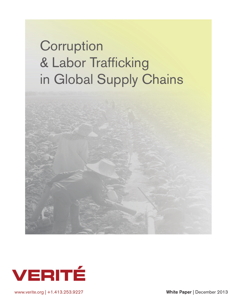# **Corruption** & Labor Trafficking in Global Supply Chains





www.verite.org | +1.413.253.9227 White Paper | December 2013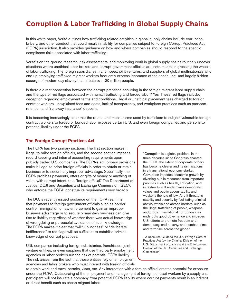# **Corruption & Labor Trafficking in Global Supply Chains**

In this white paper, Verité outlines how trafficking-related activities in global supply chains include corruption, bribery, and other conduct that could result in liability for companies subject to Foreign Corrupt Practices Act (FCPA) jurisdiction. It also provides guidance on how and where companies should respond to the specific compliance risks associated with labor trafficking.

Verité's on-the-ground research, risk assessments, and monitoring work in global supply chains routinely uncover situations where unethical labor brokers and corrupt government officials are instrumental in greasing the wheels of labor trafficking. The foreign subsidiaries, franchisees, joint ventures, and suppliers of global multinationals who end up employing trafficked migrant workers frequently express ignorance of the continuing—and largely hidden scourge of modern day slavery that affects over 20 million people.

Is there a direct connection between the corrupt practices occurring in the foreign migrant labor supply chain and the type of red flags associated with human trafficking and forced labor? Yes. These red flags include: deception regarding employment terms and conditions, illegal or unethical placement fees charged to foreign contract workers, unexplained fees and costs, lack of transparency, and workplace practices such as passport retention and "runaway insurance" deposits.

It is becoming increasingly clear that the routes and mechanisms used by traffickers to subject vulnerable foreign contract workers to forced or bonded labor exposes certain U.S. and even foreign companies and persons to potential liability under the FCPA.

#### **The Foreign Corrupt Practices Act**

The FCPA has two primary sections. The first section makes it illegal to bribe foreign officials, and the second section imposes record keeping and internal accounting requirements upon publicly traded U.S. companies. The FCPA's anti-bribery provisions make it illegal to bribe foreign officials in order to obtain or retain business or to secure any improper advantage. Specifically, the FCPA prohibits payments, offers or gifts of money or anything of value, with corrupt intent, to a "foreign official." The Department of Justice (DOJ) and Securities and Exchange Commission (SEC), who enforce the FCPA, construe its requirements very broadly.

The DOJ's recently issued guidance on the FCPA reaffirms that payments to foreign government officials such as border control, immigration or law enforcement to gain an improper business advantage or to secure or maintain business can give rise to liability regardless of whether there was actual knowledge of wrongdoing or purposeful avoidance of such knowledge. The FCPA makes it clear that "willful blindness" or "deliberate indifference" to red flags will be sufficient to establish criminal knowledge of corrupt practices.

U.S. companies including foreign subsidiaries, franchisees, joint venture entities, or even suppliers that use third party employment agencies or labor brokers run the risk of potential FCPA liability. The risk arises from the fact that these entities rely on employment agencies and labor brokers who must interact with foreign officials

"Corruption is a global problem. In the three decades since Congress enacted the FCPA, the extent of corporate bribery has become clearer and its ramifications in a transnational economy starker. Corruption impedes economic growth by diverting public resources from important priorities such as health, education, and infrastructure. It undermines democratic values and public accountability and weakens the rule of law. And it threatens stability and security by facilitating criminal activity within and across borders, such as the illegal trafficking of people, weapons, and drugs. International corruption also undercuts good governance and impedes U.S. efforts to promote freedom and democracy, end poverty, and combat crime and terrorism across the globe."

—A Resource Guide to the U.S. Foreign Corrupt Practices Act (by the Criminal Division of the U.S. Department of Justice and the Enforcement Division of the U.S. Securities and Exchange Commission)

to obtain work and travel permits, visas, etc. Any interaction with a foreign official creates potential for exposure under the FCPA. Outsourcing of the employment and management of foreign contract workers by a supply chain participant will not insulate a company from potential FCPA liability where corrupt payments result in an indirect or direct benefit such as cheap migrant labor.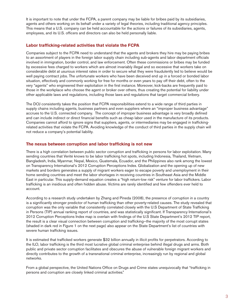It is important to note that under the FCPA, a parent company may be liable for bribes paid by its subsidiaries, agents and others working on its behalf under a variety of legal theories, including traditional agency principles. This means that a U.S. company can be held accountable for the actions or failures of its subsidiaries, agents, employees, and its U.S. officers and directors can also be held personally liable.

# **Labor trafficking-related activities that violate the FCPA**

Companies subject to the FCPA need to understand that the agents and brokers they hire may be paying bribes to an assortment of players in the foreign labor supply chain including sub-agents and labor department officials involved in immigration, border control, and law enforcement. Often these commissions or bribes may be funded by excessive fees charged to workers which are almost invariably illegal and so excessive that workers take on considerable debt at usurious interest rates in order to secure what they were fraudulently led to believe would be well paying contract jobs. The unfortunate workers who have been deceived end up in a forced or bonded labor situation, effectively and commonly working for free for months or even years to pay off their debt, often to the very "agents" who engineered their exploitation in the first instance. Moreover, kick-backs are frequently paid to those in the workplace who choose the agent or broker over others, thus creating the potential for liability under other applicable laws and regulations, including those laws and regulations that target commercial bribery.

The DOJ consistently takes the position that FCPA responsibilities extend to a wide range of third parties in supply chains including agents, business partners and even suppliers where an "improper business advantage" accrues to the U.S. connected company. The concept of improper business advantage is very broadly defined and can include indirect or direct financial benefits such as cheap labor used in the manufacture of its products. Companies cannot afford to ignore signs that suppliers, agents, or intermediaries may be engaged in traffickingrelated activities that violate the FCPA. Avoiding knowledge of the conduct of third parties in the supply chain will not reduce a company's potential liability.

#### **The nexus between corruption and labor trafficking is not new**

There is a high correlation between public sector corruption and trafficking in persons for labor exploitation. Many sending countries that Verité knows to be labor trafficking hot spots, including Indonesia, Thailand, Vietnam, Bangladesh, India, Myanmar, Nepal, Mexico, Guatemala, Ecuador, and the Philippines also rank among the lowest on Transparency International's 2012 Corruption Perceptions Index. Globalization and the opening up of new markets and borders generates a supply of migrant workers eager to escape poverty and unemployment in their home sending countries and meet the labor shortages in receiving countries in Southeast Asia and the Middle East in particular. This supply-demand equation creates a "high return-low risk" venture for labor traffickers. Labor trafficking is an insidious and often hidden abuse. Victims are rarely identified and few offenders ever held to account.

According to a research study undertaken by Zhang and Pineda (2008), the presence of corruption in a country is a significantly stronger predictor of human trafficking than other poverty-related causes. The study revealed that corruption was the only variable that consistently correlated closely with the U.S Department of State Trafficking in Persons (TIP) annual ranking report of countries, and was statistically significant. If Transparency International's 2012 Corruption Perceptions Index map is overlain with findings of the U.S State Department's 2012 TIP report, the result is a clear visual connection between corruption and trafficking—the majority of the most corrupt states (shaded in dark red in Figure 1 on the next page) also appear on the State Department's list of countries with severe human trafficking issues.

It is estimated that trafficked workers generate \$32 billion annually in illicit profits for perpetrators. According to the ILO, labor trafficking is the third most lucrative global criminal enterprise behind illegal drugs and arms. Both public and private sector corruption facilitates and obscures the abuse of vulnerable foreign migrant workers and directly contributes to the growth of a transnational criminal enterprise, increasingly run by regional and global networks.

From a global perspective, the United Nations Office on Drugs and Crime states unequivocally that "trafficking in persons and corruption are closely linked criminal activities."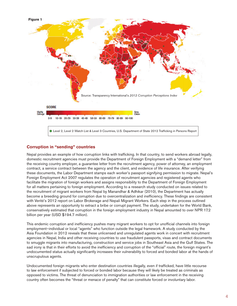

# **Corruption in "sending" countries**

Nepal provides an example of how corruption links with trafficking. In that country, to send workers abroad legally, domestic recruitment agencies must provide the Department of Foreign Employment with a "demand letter" from the receiving country employer, a guarantee letter from the recruitment agency, power of attorney, an employment contract, a service contract between the agency and the client, and evidence of life insurance. After verifying these documents, the Labor Department stamps each worker's passport signifying permission to migrate. Nepal's Foreign Employment Act 2007 regulates the operation of recruitment agencies and registered agents who facilitate the migration of foreign workers and assigns responsibility to the Department of Foreign Employment for all matters pertaining to foreign employment. According to a research study conducted on issues related to the recruitment of migrant workers from Nepal by Manandhar & Adhikar (2010), the Department has actually become a breeding ground for corruption due to overcentralization and inefficiency. These findings are consistent with Verité's 2012 report on Labor Brokerage and Nepali Migrant Workers. Each step in the process outlined above represents an opportunity to extract a bribe or corrupt payment. The study, undertaken for the World Bank, conservatively estimated that corruption in the foreign employment industry in Nepal amounted to over NPR 17.2 billion per year (USD \$194.7 million).

This endemic corruption and inefficiency pushes many migrant workers to opt for unofficial channels into foreign employment–individual or local "agents" who function outside the legal framework. A study conducted by the Asia Foundation in 2012 reveals that these unlicensed and unregulated agents work in concert with recruitment agencies in Nepal, India and other receiving countries to use fraudulent passports, visas and contract documents to smuggle migrants into manufacturing, construction and service jobs in Southeast Asia and the Gulf States. The sad irony is that in their efforts to avoid the inefficiency and corruption of the "official" route, the foreign migrant's undocumented status actually significantly increases their vulnerability to forced and bonded labor at the hands of unscrupulous agents.

Undocumented foreign migrants who enter destination countries illegally, even if trafficked, have little recourse to law enforcement if subjected to forced or bonded labor because they will likely be treated as criminals as opposed to victims. The threat of denunciation to immigration authorities or law enforcement in the receiving country often becomes the "threat or menace of penalty" that can constitute forced or involuntary labor.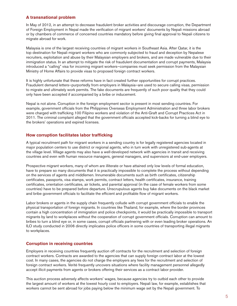#### **A transnational problem**

In May of 2012, in an attempt to decrease fraudulent broker activities and discourage corruption, the Department of Foreign Employment in Nepal made the verification of migrant workers' documents by Nepali missions abroad or by chambers of commerce of concerned countries mandatory before giving final approval to Nepali citizens to migrate abroad for work.

Malaysia is one of the largest receiving countries of migrant workers in Southeast Asia. After Qatar, it is the top destination for Nepali migrant workers who are commonly subjected to fraud and deception by Nepalese recruiters, exploitation and abuse by their Malaysian employers and brokers, and are made vulnerable due to their immigration status. In an attempt to mitigate the risk of fraudulent documentation and corrupt payments, Malaysia introduced a "calling" visa for incoming migrant workers—companies must seek permission from the Malaysian Ministry of Home Affairs to provide visas to proposed foreign contract workers.

It is highly unfortunate that these reforms have in fact created further opportunities for corrupt practices. Fraudulent demand letters—purportedly from employers in Malaysia—are used to secure calling visas, permission to migrate and ultimately work permits. The fake documents are frequently of such poor quality that they could only have been accepted if accompanied by a bribe or inducement.

Nepal is not alone. Corruption in the foreign employment sector is present in most sending countries. For example, government officials from the Philippines Overseas Employment Administration and three labor brokers were charged with trafficking 100 Filipino workers and violation of the Anti-Graft and Corrupt Practices Act in 2011. The criminal complaint alleged that the government officials accepted kick-backs for turning a blind eye to the brokers' operations and expired licenses.

#### **How corruption facilitates labor trafficking**

A typical recruitment path for migrant workers in a sending country is for legally registered agencies located in major population centers to use district or regional agents, who in turn work with unregistered sub-agents at the village level. Village agents may also have a well-developed network with agencies in transit and receiving countries and even with human resource managers, general managers, and supervisors at end-user employers.

Prospective migrant workers, many of whom are illiterate or have attained only low levels of formal education, have to prepare so many documents that it is practically impossible to complete the process without depending on the services of agents and middlemen. Innumerable documents such as birth certificates, citizenship certificates, passports, visa stamps, work permits, contract letters, health certificates, insurance, training certificates, orientation certificates, air tickets, and parental approval (in the case of female workers from some countries) have to be prepared before departure. Unscrupulous agents buy fake documents on the black market and bribe government officials to facilitate the efficient and profitable flow of migrant workers.

Labor brokers or agents in the supply chain frequently collude with corrupt government officials to enable the physical transportation of foreign migrants. In countries like Thailand, for example, where the border provinces contain a high concentration of immigration and police checkpoints, it would be practically impossible to transport migrants by land to workplaces without the cooperation of corrupt government officials. Corruption can amount to bribes to turn a blind eye or, in some cases, corrupt officials partnering with or even leading broker operations. An ILO study conducted in 2006 directly implicates police officers in some countries of transporting illegal migrants to workplaces.

# **Corruption in receiving countries**

Employers in receiving countries frequently auction off contracts for the recruitment and selection of foreign contract workers. Contracts are awarded to the agencies that can supply foreign contract labor at the lowest cost. In many cases, the agencies do not charge the employers any fees for the recruitment and selection of foreign contract workers. Verité frequently uncovers situations where facility management personnel allegedly accept illicit payments from agents or brokers offering their services as a contract labor provider.

This auction process adversely affects workers' wages, because agencies try to outbid each other to provide the largest amount of workers at the lowest hourly cost to employers. Nepali law, for example, establishes that workers cannot be sent abroad for jobs paying below the minimum wage set by the Nepali government. To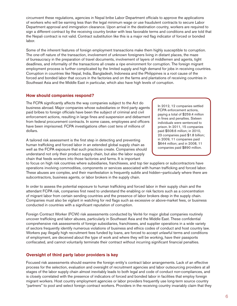circumvent these regulations, agencies in Nepal bribe Labor Department officials to approve the applications of workers who will be earning less than the legal minimum wage or use fraudulent contracts to secure Labor Department approval and immigration clearance. Upon arrival in the destination country, workers are required to sign a different contract by the receiving country broker with less favorable terms and conditions and are told that the Nepali contract is not valid. Contract substitution like this is a major red flag indicator of forced or bonded labor.

Some of the inherent features of foreign employment transactions make them highly susceptible to corruption. The one-off nature of the transaction, involvement of unknown foreigners living in distant places, the maze of bureaucracy in the preparation of travel documents, involvement of layers of middlemen and agents, tight deadlines, and informality of the transactions all create a ripe environment for corruption. The foreign migrant employment process is further complicated by the limited supply and high demand for jobs in receiving countries. Corruption in countries like Nepal, India, Bangladesh, Indonesia and the Philippines is a root cause of the forced and bonded labor that occurs in the factories and on the farms and plantations of receiving countries in Southeast Asia and the Middle East in particular, which also have high levels of corruption.

#### **How should companies respond?**

The FCPA significantly affects the way companies subject to the Act do business abroad. Major companies whose subsidiaries or third party agents paid bribes to foreign officials have been the subject of criminal and civil enforcement actions, resulting in large fines and suspension and debarment from federal procurement contracts. In some cases, employees and officers have been imprisoned. FCPA investigations often cost tens of millions of dollars.

A tailored risk assessment is the first step in detecting and preventing human trafficking and forced labor in an extended global supply chain as well as the FCPA exposure that such practices create. Companies should understand not only their product supply chain, but also the labor supply chain that feeds workers into those factories and farms. It is important

In 2012, 12 companies settled FCPA enforcement actions, paying a total of \$259.4 million in fines and penalties. Sixteen individuals were sentenced to prison. In 2011, 15 companies paid \$508.6 million; in 2010, 23 companies paid \$1.8 billion; in 2009, 11 companies paid \$644 million; and in 2008, 11 companies paid \$890 million.

to focus on high risk countries where subsidiaries, franchisees, and top tier suppliers or subcontractors have operations involving commodities, components or services associated with human trafficking and forced labor. These abuses are complex, and their manifestation is frequently subtle and hidden—particularly where there are subcontractors, business agents, or labor brokers in the supply chain.

In order to assess the potential exposure to human trafficking and forced labor in their supply chain and the attendant FCPA risk, companies first need to understand the enabling or risk factors such as a concentration of migrant labor from certain sending countries and the presence of labor brokers deep in the supply chain. Companies must also be vigilant in watching for red flags such as excessive or above-market fees, or business conducted in countries with a significant reputation of corruption.

Foreign Contract Worker (FCW) risk assessments conducted by Verité for major global companies routinely uncover trafficking and labor abuses, particularly in Southeast Asia and the Middle East. These confidential comprehensive risk assessments of foreign subsidiaries, franchisees, and supplier operations in a wide variety of sectors frequently identify numerous violations of business and ethics codes of conduct and host country law. Workers pay illegally high recruitment fees funded by loans, are forced to accept unlawful terms and conditions of employment, are deceived about the type of work and where they will be working, have their passports confiscated, and cannot voluntarily terminate their contract without incurring significant financial penalties.

# **Oversight of third party labor providers is key**

Focused risk assessments should examine the foreign entity's contract labor arrangements. Lack of an effective process for the selection, evaluation and oversight of recruitment agencies and labor outsourcing providers at all stages of the labor supply chain almost inevitably leads to both legal and code of conduct non-compliances, and is closely correlated with the presence of indicators of forced and bonded labor in facilities that employ foreign migrant workers. Host country employment agencies or labor providers frequently use long-term source country "partners" to pool and select foreign contract workers. Providers in the receiving country invariably claim that they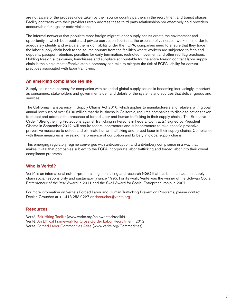are not aware of the process undertaken by their source country partners in the recruitment and transit phases. Facility contracts with their providers rarely address these third party relationships nor effectively hold providers accountable for legal or code violations.

The informal networks that populate most foreign migrant labor supply chains create the environment and opportunity in which both public and private corruption flourish at the expense of vulnerable workers. In order to adequately identify and evaluate the risk of liability under the FCPA, companies need to ensure that they trace the labor supply chain back to the source country from the facilities where workers are subjected to fees and deposits, passport retention, penalties for early termination, restricted movement and other red flag practices. Holding foreign subsidiaries, franchisees and suppliers accountable for the entire foreign contract labor supply chain is the single most effective step a company can take to mitigate the risk of FCPA liability for corrupt practices associated with labor trafficking.

#### **An emerging compliance regime**

Supply chain transparency for companies with extended global supply chains is becoming increasingly important as consumers, stakeholders and governments demand details of the systems and sources that deliver goods and services.

The California Transparency in Supply Chains Act 2010, which applies to manufacturers and retailers with global annual revenues of over \$100 million that do business in California, requires companies to disclose actions taken to detect and address the presence of forced labor and human trafficking in their supply chains. The Executive Order "Strengthening Protections against Trafficking in Persons in Federal Contracts," signed by President Obama in September 2012, will require federal contractors and subcontractors to take specific proactive preventive measures to detect and eliminate human trafficking and forced labor in their supply chains. Compliance with these measures is revealing the presence of corruption and bribery in global supply chains.

This emerging regulatory regime converges with anti-corruption and anti-bribery compliance in a way that makes it vital that companies subject to the FCPA incorporate labor trafficking and forced labor into their overall compliance programs.

# **Who is Verité?**

Verité is an international not-for-profit training, consulting and research NGO that has been a leader in supply chain social responsibility and sustainability since 1995. For its work, Verité was the winner of the Schwab Social Entrepreneur of the Year Award in 2011 and the Skoll Award for Social Entrepreneurship in 2007.

For more information on Verité's Forced Labor and Human Trafficking Prevention Programs, please contact Declan Croucher at +1.413.253.9227 or [dcroucher@verite.org.](mailto:dcroucher@verite.org)

#### **Resources**

Verité, [Fair Hiring Toolkit](http://www.verite.org/helpwanted/toolkit) (www.verite.org/helpwanted/toolkit) Verité, [An Ethical Framework for Cross-Border Labor Recruitment,](http://www.verite.org/sites/default/files/ethical_framework_paper_20120209_PRINTED.pdf) 2012 Verité[, Forced Labor Commodities Atlas](http://www.verite.org/Commodities) (www.verite.org/Commodities)